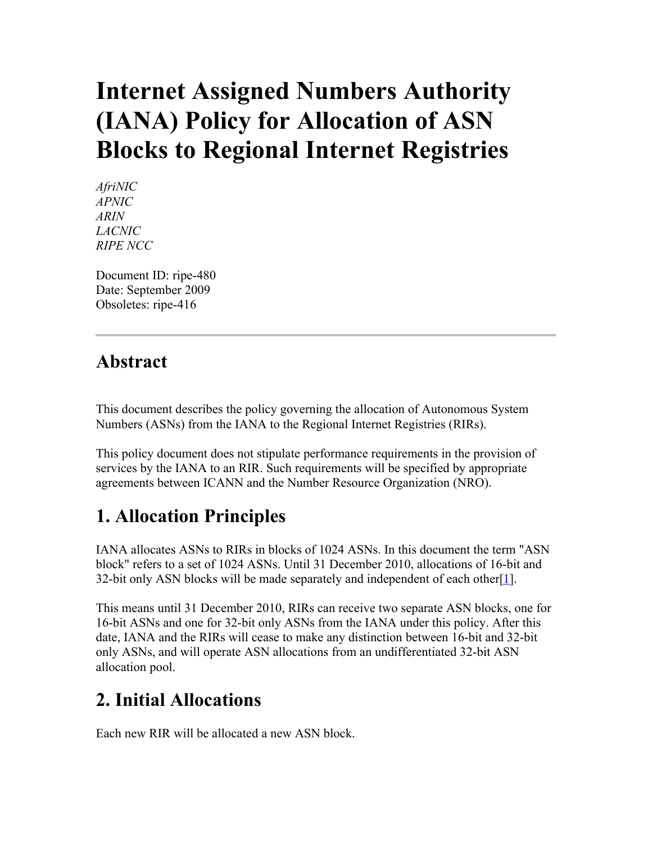# **Internet Assigned Numbers Authority (IANA) Policy for Allocation of ASN Blocks to Regional Internet Registries**

*AfriNIC APNIC ARIN LACNIC RIPE NCC*

Document ID: ripe-480 Date: September 2009 Obsoletes: ripe-416

#### **Abstract**

This document describes the policy governing the allocation of Autonomous System Numbers (ASNs) from the IANA to the Regional Internet Registries (RIRs).

This policy document does not stipulate performance requirements in the provision of services by the IANA to an RIR. Such requirements will be specified by appropriate agreements between ICANN and the Number Resource Organization (NRO).

### **1. Allocation Principles**

IANA allocates ASNs to RIRs in blocks of 1024 ASNs. In this document the term "ASN block" refers to a set of 1024 ASNs. Until 31 December 2010, allocations of 16-bit and 32-bit only ASN blocks will be made separately and independent of each other  $[1]$ .

This means until 31 December 2010, RIRs can receive two separate ASN blocks, one for 16-bit ASNs and one for 32-bit only ASNs from the IANA under this policy. After this date, IANA and the RIRs will cease to make any distinction between 16-bit and 32-bit only ASNs, and will operate ASN allocations from an undifferentiated 32-bit ASN allocation pool.

# **2. Initial Allocations**

Each new RIR will be allocated a new ASN block.